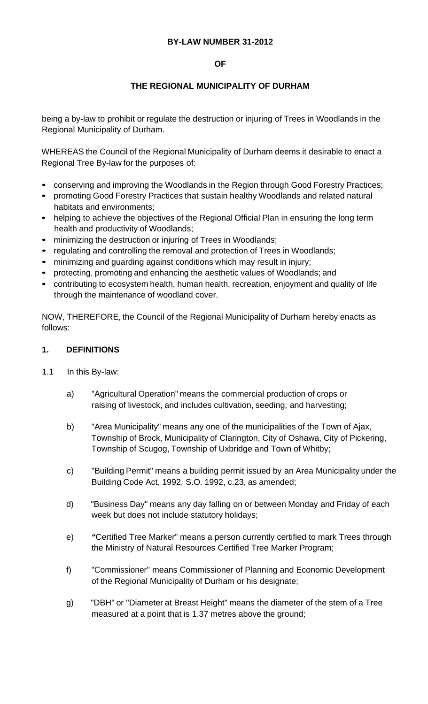#### **BY-LAW NUMBER 31-2012**

#### **OF**

#### **THE REGIONAL MUNICIPALITY OF DURHAM**

being a by-law to prohibit or regulate the destruction or injuring of Trees in Woodlands in the Regional Municipality of Durham.

WHEREAS the Council of the Regional Municipality of Durham deems it desirable to enact a Regional Tree By-law for the purposes of:

- conserving and improving the Woodlands in the Region through Good Forestry Practices;
- promoting Good Forestry Practices that sustain healthy Woodlands and related natural habitats and environments;
- helping to achieve the objectives of the Regional Official Plan in ensuring the long term health and productivity of Woodlands;
- minimizing the destruction or injuring of Trees in Woodlands;
- regulating and controlling the removal and protection of Trees in Woodlands;
- minimizing and guarding against conditions which may result in injury;
- protecting, promoting and enhancing the aesthetic values of Woodlands; and
- contributing to ecosystem health, human health, recreation, enjoyment and quality of life through the maintenance of woodland cover.

NOW, THEREFORE, the Council of the Regional Municipality of Durham hereby enacts as follows:

#### **1. DEFINITIONS**

- 1.1 In this By-law:
	- a) "Agricultural Operation" means the commercial production of crops or raising of livestock, and includes cultivation, seeding, and harvesting;
	- b) "Area Municipality" means any one of the municipalities of the Town of Ajax, Township of Brock, Municipality of Clarington, City of Oshawa, City of Pickering, Township of Scugog, Township of Uxbridge and Town of Whitby;
	- c) "Building Permit" means a building permit issued by an Area Municipality under the Building Code Act, 1992, S.O. 1992, c.23, as amended;
	- d) "Business Day" means any day falling on or between Monday and Friday of each week but does not include statutory holidays;
	- e) *"*Certified Tree Marker" means a person currently certified to mark Trees through the Ministry of Natural Resources Certified Tree Marker Program;
	- f) "Commissioner'' means Commissioner of Planning and Economic Development of the Regional Municipality of Durham or his designate;
	- g) "DBH" or "Diameter at Breast Height" means the diameter of the stem of a Tree measured at a point that is 1.37 metres above the ground;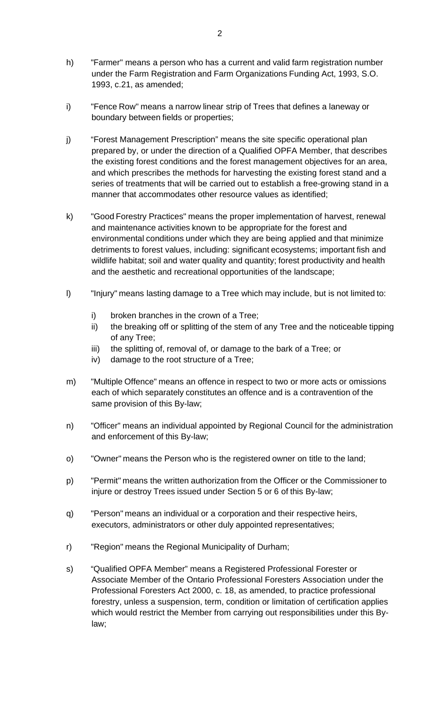- h) "Farmer'' means a person who has a current and valid farm registration number under the Farm Registration and Farm Organizations Funding Act, 1993, S.O. 1993, c.21, as amended;
- i) "Fence Row" means a narrow linear strip of Trees that defines a laneway or boundary between fields or properties;
- j) "Forest Management Prescription" means the site specific operational plan prepared by, or under the direction of a Qualified OPFA Member, that describes the existing forest conditions and the forest management objectives for an area, and which prescribes the methods for harvesting the existing forest stand and a series of treatments that will be carried out to establish a free-growing stand in a manner that accommodates other resource values as identified;
- k) "Good Forestry Practices" means the proper implementation of harvest, renewal and maintenance activities known to be appropriate for the forest and environmental conditions under which they are being applied and that minimize detriments to forest values, including: significant ecosystems; important fish and wildlife habitat; soil and water quality and quantity; forest productivity and health and the aesthetic and recreational opportunities of the landscape;
- l) "Injury" means lasting damage to a Tree which may include, but is not limited to:
	- i) broken branches in the crown of a Tree;
	- ii) the breaking off or splitting of the stem of any Tree and the noticeable tipping of any Tree;
	- iii) the splitting of, removal of, or damage to the bark of a Tree; or
	- iv) damage to the root structure of a Tree;
- m) "Multiple Offence" means an offence in respect to two or more acts or omissions each of which separately constitutes an offence and is a contravention of the same provision of this By-law;
- n) "Officer" means an individual appointed by Regional Council for the administration and enforcement of this By-law;
- o) "Owner" means the Person who is the registered owner on title to the land;
- p) "Permit" means the written authorization from the Officer or the Commissioner to injure or destroy Trees issued under Section 5 or 6 of this By-law;
- q) "Person" means an individual or a corporation and their respective heirs, executors, administrators or other duly appointed representatives;
- r) "Region" means the Regional Municipality of Durham;
- s) "Qualified OPFA Member" means a Registered Professional Forester or Associate Member of the Ontario Professional Foresters Association under the Professional Foresters Act 2000, c. 18, as amended, to practice professional forestry, unless a suspension, term, condition or limitation of certification applies which would restrict the Member from carrying out responsibilities under this Bylaw;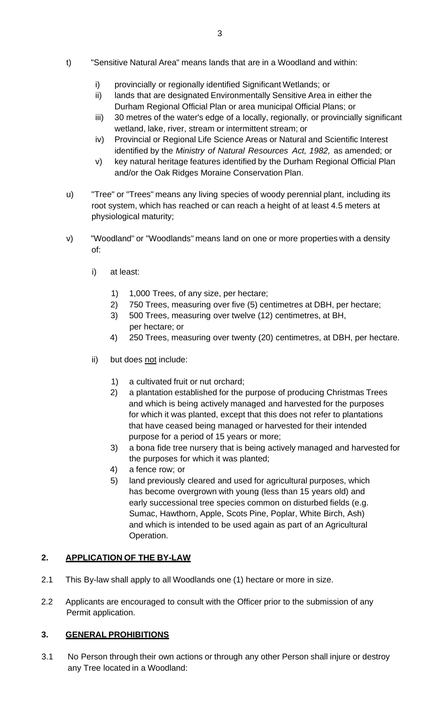- t) "Sensitive Natural Area" means lands that are in a Woodland and within:
	- i) provincially or regionally identified Significant Wetlands; or
	- ii) lands that are designated Environmentally Sensitive Area in either the Durham Regional Official Plan or area municipal Official Plans; or
	- iii) 30 metres of the water's edge of a locally, regionally, or provincially significant wetland, lake, river, stream or intermittent stream; or
	- iv) Provincial or Regional Life Science Areas or Natural and Scientific Interest identified by the *Ministry of Natural Resources Act, 1982,* as amended; or
	- v) key natural heritage features identified by the Durham Regional Official Plan and/or the Oak Ridges Moraine Conservation Plan.
- u) "Tree" or "Trees" means any living species of woody perennial plant, including its root system, which has reached or can reach a height of at least 4.5 meters at physiological maturity;
- v) "Woodland" or "Woodlands" means land on one or more properties with a density of:
	- i) at least:
		- 1) 1,000 Trees, of any size, per hectare;
		- 2) 750 Trees, measuring over five (5) centimetres at DBH, per hectare;
		- 3) 500 Trees, measuring over twelve (12) centimetres, at BH, per hectare; or
		- 4) 250 Trees, measuring over twenty (20) centimetres, at DBH, per hectare.
	- ii) but does not include:
		- 1) a cultivated fruit or nut orchard;
		- 2) a plantation established for the purpose of producing Christmas Trees and which is being actively managed and harvested for the purposes for which it was planted, except that this does not refer to plantations that have ceased being managed or harvested for their intended purpose for a period of 15 years or more;
		- 3) a bona fide tree nursery that is being actively managed and harvested for the purposes for which it was planted;
		- 4) a fence row; or
		- 5) land previously cleared and used for agricultural purposes, which has become overgrown with young (less than 15 years old) and early successional tree species common on disturbed fields (e.g. Sumac, Hawthorn, Apple, Scots Pine, Poplar, White Birch, Ash) and which is intended to be used again as part of an Agricultural Operation.

## **2. APPLICATION OF THE BY-LAW**

- 2.1 This By-law shall apply to all Woodlands one (1) hectare or more in size.
- 2.2 Applicants are encouraged to consult with the Officer prior to the submission of any Permit application.

## **3. GENERAL PROHIBITIONS**

3.1 No Person through their own actions or through any other Person shall injure or destroy any Tree located in a Woodland: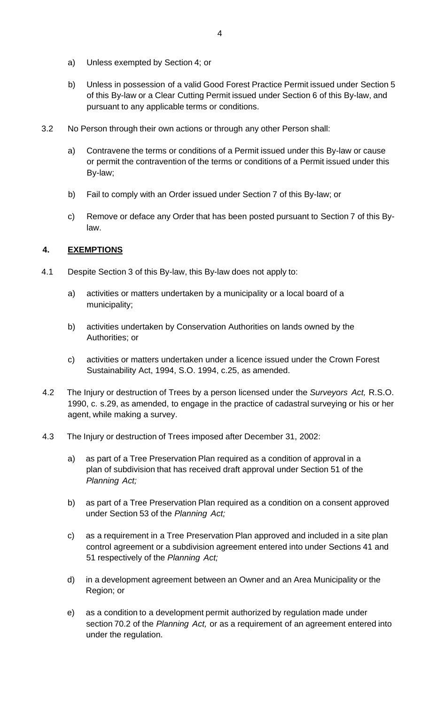- a) Unless exempted by Section 4; or
- b) Unless in possession of a valid Good Forest Practice Permit issued under Section 5 of this By-law or a Clear Cutting Permit issued under Section 6 of this By-law, and pursuant to any applicable terms or conditions.
- 3.2 No Person through their own actions or through any other Person shall:
	- a) Contravene the terms or conditions of a Permit issued under this By-law or cause or permit the contravention of the terms or conditions of a Permit issued under this By-law;
	- b) Fail to comply with an Order issued under Section 7 of this By-law; or
	- c) Remove or deface any Order that has been posted pursuant to Section 7 of this Bylaw.

### **4. EXEMPTIONS**

- 4.1 Despite Section 3 of this By-law, this By-law does not apply to:
	- a) activities or matters undertaken by a municipality or a local board of a municipality;
	- b) activities undertaken by Conservation Authorities on lands owned by the Authorities; or
	- c) activities or matters undertaken under a licence issued under the Crown Forest Sustainability Act, 1994, S.O. 1994, c.25, as amended.
- 4.2 The Injury or destruction of Trees by a person licensed under the *Surveyors Act,* R.S.O. 1990, c. s.29, as amended, to engage in the practice of cadastral surveying or his or her agent, while making a survey.
- 4.3 The Injury or destruction of Trees imposed after December 31, 2002:
	- a) as part of a Tree Preservation Plan required as a condition of approval in a plan of subdivision that has received draft approval under Section 51 of the *Planning Act;*
	- b) as part of a Tree Preservation Plan required as a condition on a consent approved under Section 53 of the *Planning Act;*
	- c) as a requirement in a Tree Preservation Plan approved and included in a site plan control agreement or a subdivision agreement entered into under Sections 41 and 51 respectively of the *Planning Act;*
	- d) in a development agreement between an Owner and an Area Municipality or the Region; or
	- e) as a condition to a development permit authorized by regulation made under section 70.2 of the *Planning Act,* or as a requirement of an agreement entered into under the regulation.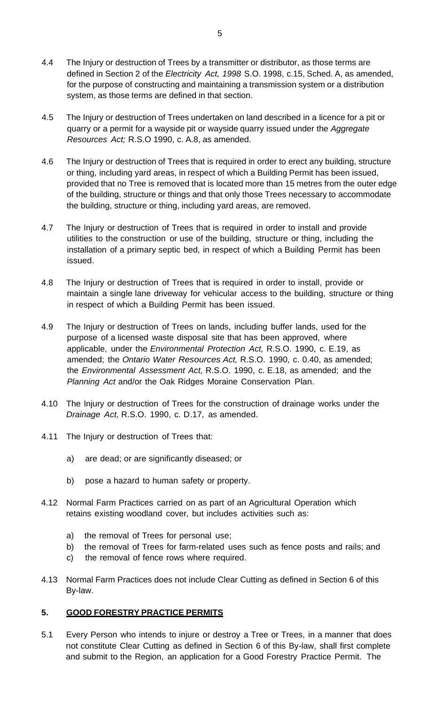- 4.4 The Injury or destruction of Trees by a transmitter or distributor, as those terms are defined in Section 2 of the *Electricity Act, 1998* S.O. 1998, c.15, Sched. A, as amended, for the purpose of constructing and maintaining a transmission system or a distribution system, as those terms are defined in that section.
- 4.5 The Injury or destruction of Trees undertaken on land described in a licence for a pit or quarry or a permit for a wayside pit or wayside quarry issued under the *Aggregate Resources Act;* R.S.O 1990, c. A.8, as amended.
- 4.6 The Injury or destruction of Trees that is required in order to erect any building, structure or thing, including yard areas, in respect of which a Building Permit has been issued, provided that no Tree is removed that is located more than 15 metres from the outer edge of the building, structure or things and that only those Trees necessary to accommodate the building, structure or thing, including yard areas, are removed.
- 4.7 The Injury or destruction of Trees that is required in order to install and provide utilities to the construction or use of the building, structure or thing, including the installation of a primary septic bed, in respect of which a Building Permit has been issued.
- 4.8 The Injury or destruction of Trees that is required in order to install, provide or maintain a single lane driveway for vehicular access to the building, structure or thing in respect of which a Building Permit has been issued.
- 4.9 The Injury or destruction of Trees on lands, including buffer lands, used for the purpose of a licensed waste disposal site that has been approved, where applicable, under the *Environmental Protection Act,* R.S.O. 1990, c. E.19, as amended; the *Ontario Water Resources Act,* R.S.O. 1990, c. 0.40, as amended; the *Environmental Assessment Act,* R.S.O. 1990, c. E.18, as amended; and the *Planning Act* and/or the Oak Ridges Moraine Conservation Plan.
- 4.10 The Injury or destruction of Trees for the construction of drainage works under the *Drainage Act,* R.S.O. 1990, c. D.17, as amended.
- 4.11 The Injury or destruction of Trees that:
	- a) are dead; or are significantly diseased; or
	- b) pose a hazard to human safety or property.
- 4.12 Normal Farm Practices carried on as part of an Agricultural Operation which retains existing woodland cover, but includes activities such as:
	- a) the removal of Trees for personal use;
	- b) the removal of Trees for farm-related uses such as fence posts and rails; and
	- c) the removal of fence rows where required.
- 4.13 Normal Farm Practices does not include Clear Cutting as defined in Section 6 of this By-law.

## **5. GOOD FORESTRY PRACTICE PERMITS**

5.1 Every Person who intends to injure or destroy a Tree or Trees, in a manner that does not constitute Clear Cutting as defined in Section 6 of this By-law, shall first complete and submit to the Region, an application for a Good Forestry Practice Permit. The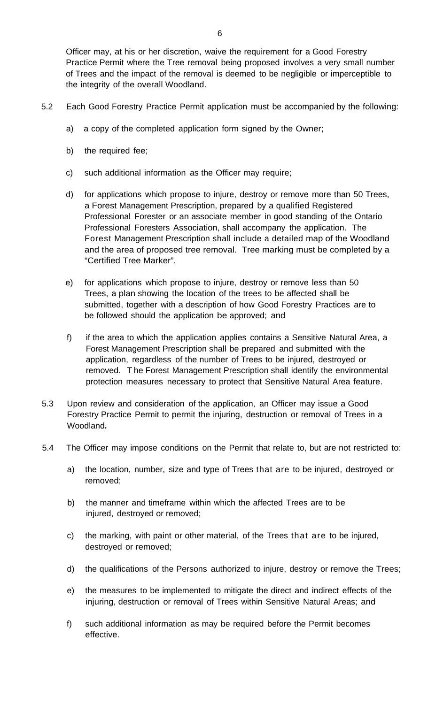Officer may, at his or her discretion, waive the requirement for a Good Forestry Practice Permit where the Tree removal being proposed involves a very small number of Trees and the impact of the removal is deemed to be negligible or imperceptible to the integrity of the overall Woodland.

- 5.2 Each Good Forestry Practice Permit application must be accompanied by the following:
	- a) a copy of the completed application form signed by the Owner;
	- b) the required fee;
	- c) such additional information as the Officer may require;
	- d) for applications which propose to injure, destroy or remove more than 50 Trees, a Forest Management Prescription, prepared by a qualified Registered Professional Forester or an associate member in good standing of the Ontario Professional Foresters Association, shall accompany the application. The Forest Management Prescription shall include a detailed map of the Woodland and the area of proposed tree removal. Tree marking must be completed by a "Certified Tree Marker".
	- e) for applications which propose to injure, destroy or remove less than 50 Trees, a plan showing the location of the trees to be affected shall be submitted, together with a description of how Good Forestry Practices are to be followed should the application be approved; and
	- f) if the area to which the application applies contains a Sensitive Natural Area, a Forest Management Prescription shall be prepared and submitted with the application, regardless of the number of Trees to be injured, destroyed or removed. T he Forest Management Prescription shall identify the environmental protection measures necessary to protect that Sensitive Natural Area feature.
- 5.3 Upon review and consideration of the application, an Officer may issue a Good Forestry Practice Permit to permit the injuring, destruction or removal of Trees in a Woodland*.*
- 5.4 The Officer may impose conditions on the Permit that relate to, but are not restricted to:
	- a) the location, number, size and type of Trees that are to be injured, destroyed or removed;
	- b) the manner and timeframe within which the affected Trees are to be injured, destroyed or removed;
	- c) the marking, with paint or other material, of the Trees that are to be injured, destroyed or removed;
	- d) the qualifications of the Persons authorized to injure, destroy or remove the Trees;
	- e) the measures to be implemented to mitigate the direct and indirect effects of the injuring, destruction or removal of Trees within Sensitive Natural Areas; and
	- f) such additional information as may be required before the Permit becomes effective.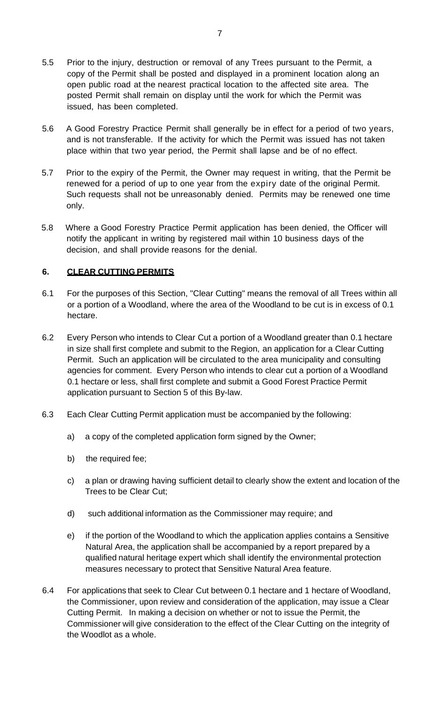- 5.5 Prior to the injury, destruction or removal of any Trees pursuant to the Permit, a copy of the Permit shall be posted and displayed in a prominent location along an open public road at the nearest practical location to the affected site area. The posted Permit shall remain on display until the work for which the Permit was issued, has been completed.
- 5.6 A Good Forestry Practice Permit shall generally be in effect for a period of two years, and is not transferable. If the activity for which the Permit was issued has not taken place within that two year period, the Permit shall lapse and be of no effect.
- 5.7 Prior to the expiry of the Permit, the Owner may request in writing, that the Permit be renewed for a period of up to one year from the expiry date of the original Permit. Such requests shall not be unreasonably denied. Permits may be renewed one time only.
- 5.8 Where a Good Forestry Practice Permit application has been denied, the Officer will notify the applicant in writing by registered mail within 10 business days of the decision, and shall provide reasons for the denial.

### **6. CLEAR CUTTING PERMITS**

- 6.1 For the purposes of this Section, "Clear Cutting" means the removal of all Trees within all or a portion of a Woodland, where the area of the Woodland to be cut is in excess of 0.1 hectare.
- 6.2 Every Person who intends to Clear Cut a portion of a Woodland greater than 0.1 hectare in size shall first complete and submit to the Region, an application for a Clear Cutting Permit. Such an application will be circulated to the area municipality and consulting agencies for comment. Every Person who intends to clear cut a portion of a Woodland 0.1 hectare or less, shall first complete and submit a Good Forest Practice Permit application pursuant to Section 5 of this By-law.
- 6.3 Each Clear Cutting Permit application must be accompanied by the following:
	- a) a copy of the completed application form signed by the Owner;
	- b) the required fee;
	- c) a plan or drawing having sufficient detail to clearly show the extent and location of the Trees to be Clear Cut;
	- d) such additional information as the Commissioner may require; and
	- e) if the portion of the Woodland to which the application applies contains a Sensitive Natural Area, the application shall be accompanied by a report prepared by a qualified natural heritage expert which shall identify the environmental protection measures necessary to protect that Sensitive Natural Area feature.
- 6.4 For applications that seek to Clear Cut between 0.1 hectare and 1 hectare of Woodland, the Commissioner, upon review and consideration of the application, may issue a Clear Cutting Permit. In making a decision on whether or not to issue the Permit, the Commissioner will give consideration to the effect of the Clear Cutting on the integrity of the Woodlot as a whole.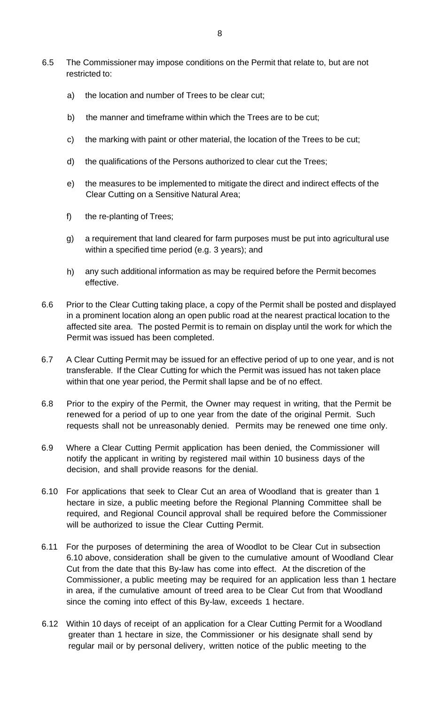- 6.5 The Commissioner may impose conditions on the Permit that relate to, but are not restricted to:
	- a) the location and number of Trees to be clear cut;
	- b) the manner and timeframe within which the Trees are to be cut;
	- c) the marking with paint or other material, the location of the Trees to be cut;
	- d) the qualifications of the Persons authorized to clear cut the Trees;
	- e) the measures to be implemented to mitigate the direct and indirect effects of the Clear Cutting on a Sensitive Natural Area;
	- f) the re-planting of Trees;
	- g) a requirement that land cleared for farm purposes must be put into agricultural use within a specified time period (e.g. 3 years); and
	- h) any such additional information as may be required before the Permit becomes effective.
- 6.6 Prior to the Clear Cutting taking place, a copy of the Permit shall be posted and displayed in a prominent location along an open public road at the nearest practical location to the affected site area. The posted Permit is to remain on display until the work for which the Permit was issued has been completed.
- 6.7 A Clear Cutting Permit may be issued for an effective period of up to one year, and is not transferable. If the Clear Cutting for which the Permit was issued has not taken place within that one year period, the Permit shall lapse and be of no effect.
- 6.8 Prior to the expiry of the Permit, the Owner may request in writing, that the Permit be renewed for a period of up to one year from the date of the original Permit. Such requests shall not be unreasonably denied. Permits may be renewed one time only.
- 6.9 Where a Clear Cutting Permit application has been denied, the Commissioner will notify the applicant in writing by registered mail within 10 business days of the decision, and shall provide reasons for the denial.
- 6.10 For applications that seek to Clear Cut an area of Woodland that is greater than 1 hectare in size, a public meeting before the Regional Planning Committee shall be required, and Regional Council approval shall be required before the Commissioner will be authorized to issue the Clear Cutting Permit.
- 6.11 For the purposes of determining the area of Woodlot to be Clear Cut in subsection 6.10 above, consideration shall be given to the cumulative amount of Woodland Clear Cut from the date that this By-law has come into effect. At the discretion of the Commissioner, a public meeting may be required for an application less than 1 hectare in area, if the cumulative amount of treed area to be Clear Cut from that Woodland since the coming into effect of this By-law, exceeds 1 hectare.
- 6.12 Within 10 days of receipt of an application for a Clear Cutting Permit for a Woodland greater than 1 hectare in size, the Commissioner or his designate shall send by regular mail or by personal delivery, written notice of the public meeting to the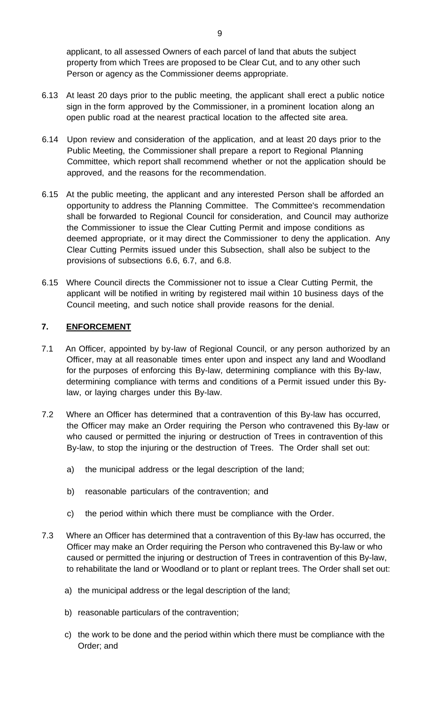applicant, to all assessed Owners of each parcel of land that abuts the subject property from which Trees are proposed to be Clear Cut, and to any other such Person or agency as the Commissioner deems appropriate.

- 6.13 At least 20 days prior to the public meeting, the applicant shall erect a public notice sign in the form approved by the Commissioner, in a prominent location along an open public road at the nearest practical location to the affected site area.
- 6.14 Upon review and consideration of the application, and at least 20 days prior to the Public Meeting, the Commissioner shall prepare a report to Regional Planning Committee, which report shall recommend whether or not the application should be approved, and the reasons for the recommendation.
- 6.15 At the public meeting, the applicant and any interested Person shall be afforded an opportunity to address the Planning Committee. The Committee's recommendation shall be forwarded to Regional Council for consideration, and Council may authorize the Commissioner to issue the Clear Cutting Permit and impose conditions as deemed appropriate, or it may direct the Commissioner to deny the application. Any Clear Cutting Permits issued under this Subsection, shall also be subject to the provisions of subsections 6.6, 6.7, and 6.8.
- 6.15 Where Council directs the Commissioner not to issue a Clear Cutting Permit, the applicant will be notified in writing by registered mail within 10 business days of the Council meeting, and such notice shall provide reasons for the denial.

### **7. ENFORCEMENT**

- 7.1 An Officer, appointed by by-law of Regional Council, or any person authorized by an Officer, may at all reasonable times enter upon and inspect any land and Woodland for the purposes of enforcing this By-law, determining compliance with this By-law, determining compliance with terms and conditions of a Permit issued under this Bylaw, or laying charges under this By-law.
- 7.2 Where an Officer has determined that a contravention of this By-law has occurred, the Officer may make an Order requiring the Person who contravened this By-law or who caused or permitted the injuring or destruction of Trees in contravention of this By-law, to stop the injuring or the destruction of Trees. The Order shall set out:
	- a) the municipal address or the legal description of the land;
	- b) reasonable particulars of the contravention; and
	- c) the period within which there must be compliance with the Order.
- 7.3 Where an Officer has determined that a contravention of this By-law has occurred, the Officer may make an Order requiring the Person who contravened this By-law or who caused or permitted the injuring or destruction of Trees in contravention of this By-law, to rehabilitate the land or Woodland or to plant or replant trees. The Order shall set out:
	- a) the municipal address or the legal description of the land;
	- b) reasonable particulars of the contravention;
	- c) the work to be done and the period within which there must be compliance with the Order; and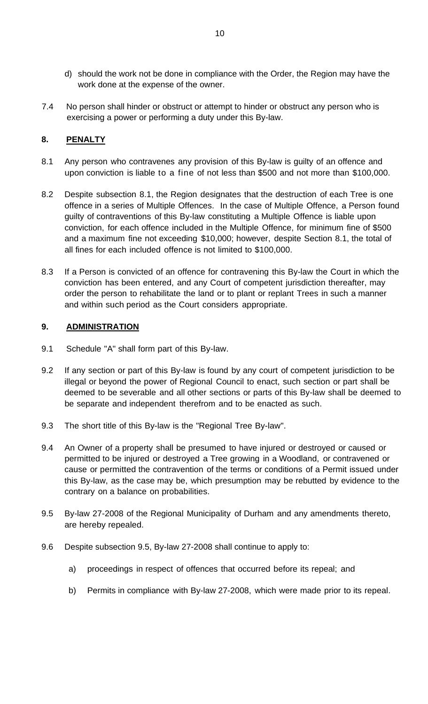- d) should the work not be done in compliance with the Order, the Region may have the work done at the expense of the owner.
- 7.4 No person shall hinder or obstruct or attempt to hinder or obstruct any person who is exercising a power or performing a duty under this By-law.

## **8. PENALTY**

- 8.1 Any person who contravenes any provision of this By-law is guilty of an offence and upon conviction is liable to a fine of not less than \$500 and not more than \$100,000.
- 8.2 Despite subsection 8.1, the Region designates that the destruction of each Tree is one offence in a series of Multiple Offences. In the case of Multiple Offence, a Person found guilty of contraventions of this By-law constituting a Multiple Offence is liable upon conviction, for each offence included in the Multiple Offence, for minimum fine of \$500 and a maximum fine not exceeding \$10,000; however, despite Section 8.1, the total of all fines for each included offence is not limited to \$100,000.
- 8.3 If a Person is convicted of an offence for contravening this By-law the Court in which the conviction has been entered, and any Court of competent jurisdiction thereafter, may order the person to rehabilitate the land or to plant or replant Trees in such a manner and within such period as the Court considers appropriate.

### **9. ADMINISTRATION**

- 9.1 Schedule "A" shall form part of this By-law.
- 9.2 If any section or part of this By-law is found by any court of competent jurisdiction to be illegal or beyond the power of Regional Council to enact, such section or part shall be deemed to be severable and all other sections or parts of this By-law shall be deemed to be separate and independent therefrom and to be enacted as such.
- 9.3 The short title of this By-law is the "Regional Tree By-law".
- 9.4 An Owner of a property shall be presumed to have injured or destroyed or caused or permitted to be injured or destroyed a Tree growing in a Woodland, or contravened or cause or permitted the contravention of the terms or conditions of a Permit issued under this By-law, as the case may be, which presumption may be rebutted by evidence to the contrary on a balance on probabilities.
- 9.5 By-law 27-2008 of the Regional Municipality of Durham and any amendments thereto, are hereby repealed.
- 9.6 Despite subsection 9.5, By-law 27-2008 shall continue to apply to:
	- a) proceedings in respect of offences that occurred before its repeal; and
	- b) Permits in compliance with By-law 27-2008, which were made prior to its repeal.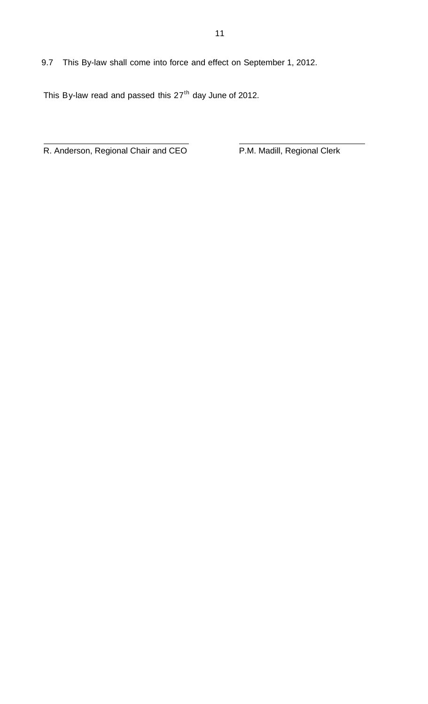9.7 This By-law shall come into force and effect on September 1, 2012.

This By-law read and passed this  $27<sup>th</sup>$  day June of 2012.

R. Anderson, Regional Chair and CEO **P.M. Madill, Regional Clerk** 

 $\overline{a}$